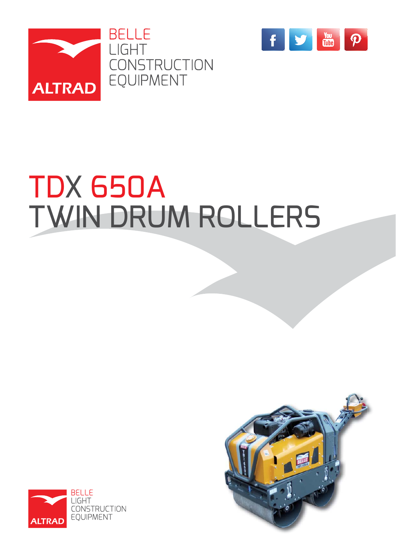



# TDX 650A TWIN DRUM ROLLERS